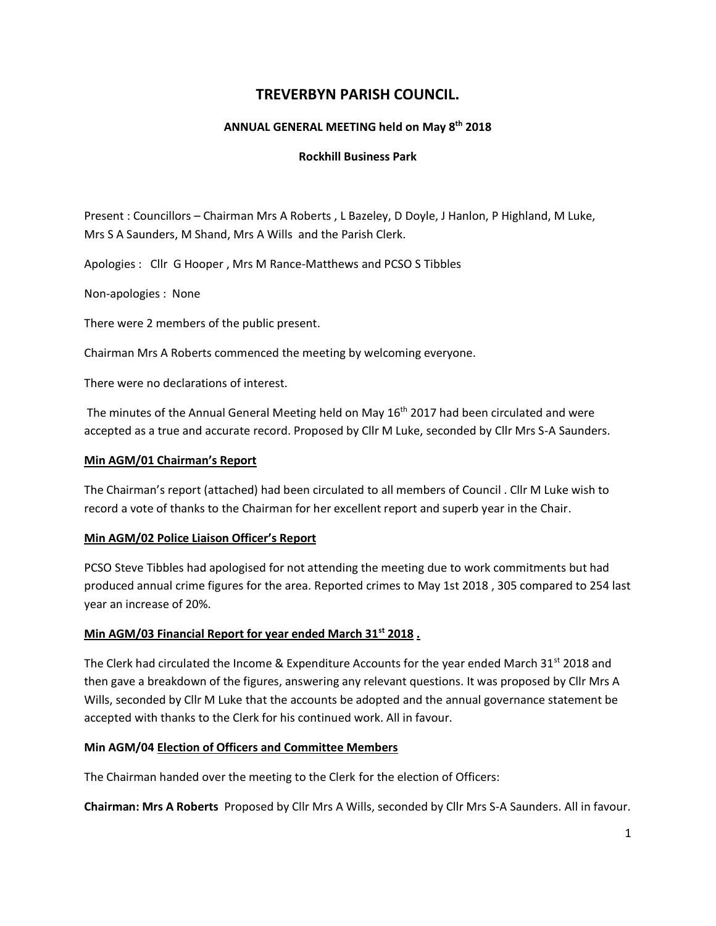# **TREVERBYN PARISH COUNCIL.**

## **ANNUAL GENERAL MEETING held on May 8 th 2018**

#### **Rockhill Business Park**

Present : Councillors – Chairman Mrs A Roberts , L Bazeley, D Doyle, J Hanlon, P Highland, M Luke, Mrs S A Saunders, M Shand, Mrs A Wills and the Parish Clerk.

Apologies : Cllr G Hooper , Mrs M Rance-Matthews and PCSO S Tibbles

Non-apologies : None

There were 2 members of the public present.

Chairman Mrs A Roberts commenced the meeting by welcoming everyone.

There were no declarations of interest.

The minutes of the Annual General Meeting held on May 16<sup>th</sup> 2017 had been circulated and were accepted as a true and accurate record. Proposed by Cllr M Luke, seconded by Cllr Mrs S-A Saunders.

#### **Min AGM/01 Chairman's Report**

The Chairman's report (attached) had been circulated to all members of Council . Cllr M Luke wish to record a vote of thanks to the Chairman for her excellent report and superb year in the Chair.

## **Min AGM/02 Police Liaison Officer's Report**

PCSO Steve Tibbles had apologised for not attending the meeting due to work commitments but had produced annual crime figures for the area. Reported crimes to May 1st 2018 , 305 compared to 254 last year an increase of 20%.

## **Min AGM/03 Financial Report for year ended March 31st 2018 .**

The Clerk had circulated the Income & Expenditure Accounts for the year ended March 31<sup>st</sup> 2018 and then gave a breakdown of the figures, answering any relevant questions. It was proposed by Cllr Mrs A Wills, seconded by Cllr M Luke that the accounts be adopted and the annual governance statement be accepted with thanks to the Clerk for his continued work. All in favour.

## **Min AGM/04 Election of Officers and Committee Members**

The Chairman handed over the meeting to the Clerk for the election of Officers:

**Chairman: Mrs A Roberts** Proposed by Cllr Mrs A Wills, seconded by Cllr Mrs S-A Saunders. All in favour.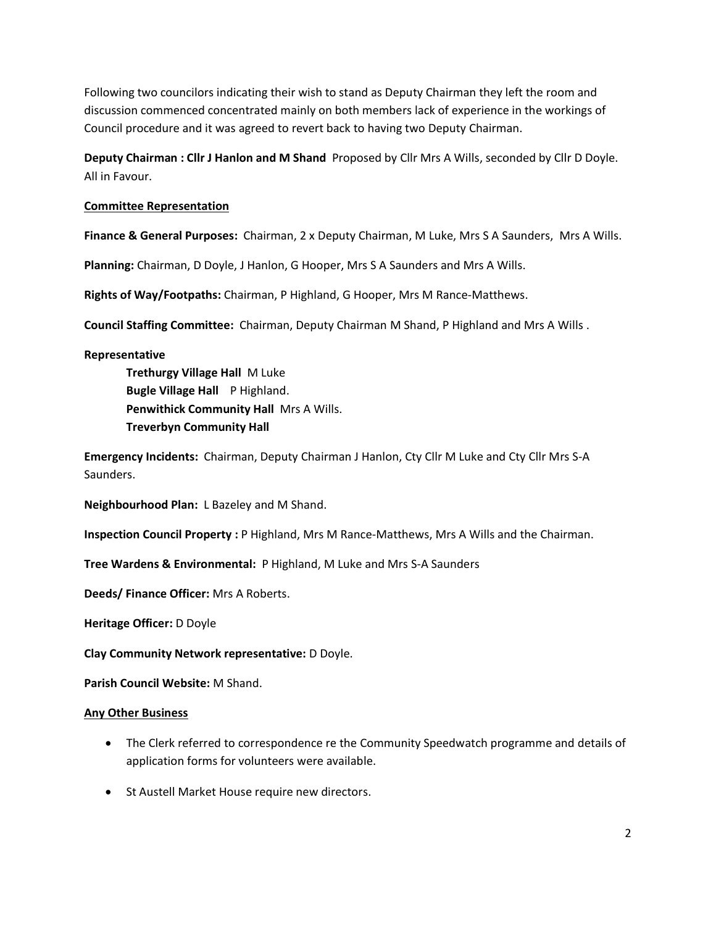Following two councilors indicating their wish to stand as Deputy Chairman they left the room and discussion commenced concentrated mainly on both members lack of experience in the workings of Council procedure and it was agreed to revert back to having two Deputy Chairman.

**Deputy Chairman : Cllr J Hanlon and M Shand** Proposed by Cllr Mrs A Wills, seconded by Cllr D Doyle. All in Favour.

## **Committee Representation**

**Finance & General Purposes:** Chairman, 2 x Deputy Chairman, M Luke, Mrs S A Saunders, Mrs A Wills.

**Planning:** Chairman, D Doyle, J Hanlon, G Hooper, Mrs S A Saunders and Mrs A Wills.

**Rights of Way/Footpaths:** Chairman, P Highland, G Hooper, Mrs M Rance-Matthews.

**Council Staffing Committee:** Chairman, Deputy Chairman M Shand, P Highland and Mrs A Wills .

#### **Representative**

**Trethurgy Village Hall** M Luke **Bugle Village Hall** P Highland. **Penwithick Community Hall** Mrs A Wills. **Treverbyn Community Hall** 

**Emergency Incidents:** Chairman, Deputy Chairman J Hanlon, Cty Cllr M Luke and Cty Cllr Mrs S-A Saunders.

**Neighbourhood Plan:** L Bazeley and M Shand.

**Inspection Council Property :** P Highland, Mrs M Rance-Matthews, Mrs A Wills and the Chairman.

**Tree Wardens & Environmental:** P Highland, M Luke and Mrs S-A Saunders

**Deeds/ Finance Officer:** Mrs A Roberts.

**Heritage Officer:** D Doyle

**Clay Community Network representative:** D Doyle.

**Parish Council Website:** M Shand.

#### **Any Other Business**

- The Clerk referred to correspondence re the Community Speedwatch programme and details of application forms for volunteers were available.
- St Austell Market House require new directors.